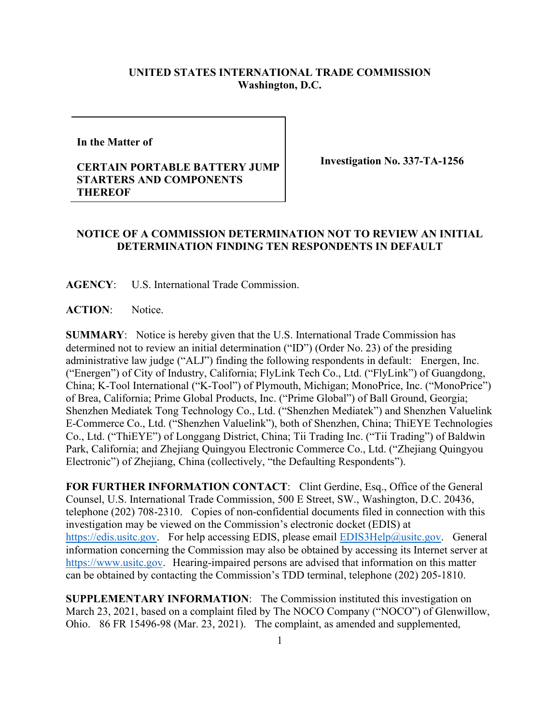## **UNITED STATES INTERNATIONAL TRADE COMMISSION Washington, D.C.**

**In the Matter of** 

## **CERTAIN PORTABLE BATTERY JUMP STARTERS AND COMPONENTS THEREOF**

**Investigation No. 337-TA-1256**

## **NOTICE OF A COMMISSION DETERMINATION NOT TO REVIEW AN INITIAL DETERMINATION FINDING TEN RESPONDENTS IN DEFAULT**

**AGENCY**: U.S. International Trade Commission.

ACTION: Notice.

**SUMMARY**: Notice is hereby given that the U.S. International Trade Commission has determined not to review an initial determination ("ID") (Order No. 23) of the presiding administrative law judge ("ALJ") finding the following respondents in default: Energen, Inc. ("Energen") of City of Industry, California; FlyLink Tech Co., Ltd. ("FlyLink") of Guangdong, China; K-Tool International ("K-Tool") of Plymouth, Michigan; MonoPrice, Inc. ("MonoPrice") of Brea, California; Prime Global Products, Inc. ("Prime Global") of Ball Ground, Georgia; Shenzhen Mediatek Tong Technology Co., Ltd. ("Shenzhen Mediatek") and Shenzhen Valuelink E-Commerce Co., Ltd. ("Shenzhen Valuelink"), both of Shenzhen, China; ThiEYE Technologies Co., Ltd. ("ThiEYE") of Longgang District, China; Tii Trading Inc. ("Tii Trading") of Baldwin Park, California; and Zhejiang Quingyou Electronic Commerce Co., Ltd. ("Zhejiang Quingyou Electronic") of Zhejiang, China (collectively, "the Defaulting Respondents").

FOR FURTHER INFORMATION CONTACT: Clint Gerdine, Esq., Office of the General Counsel, U.S. International Trade Commission, 500 E Street, SW., Washington, D.C. 20436, telephone (202) 708-2310. Copies of non-confidential documents filed in connection with this investigation may be viewed on the Commission's electronic docket (EDIS) at [https://edis.usitc.gov.](https://edis.usitc.gov/) For help accessing EDIS, please email **EDIS3Help@usitc.gov**. General information concerning the Commission may also be obtained by accessing its Internet server at [https://www.usitc.gov.](https://www.usitc.gov/) Hearing-impaired persons are advised that information on this matter can be obtained by contacting the Commission's TDD terminal, telephone (202) 205-1810.

**SUPPLEMENTARY INFORMATION**: The Commission instituted this investigation on March 23, 2021, based on a complaint filed by The NOCO Company ("NOCO") of Glenwillow, Ohio. 86 FR 15496-98 (Mar. 23, 2021). The complaint, as amended and supplemented,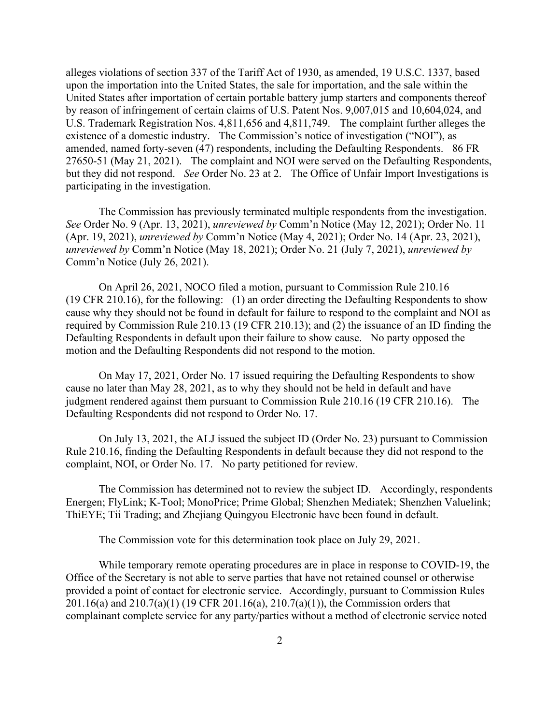alleges violations of section 337 of the Tariff Act of 1930, as amended, 19 U.S.C. 1337, based upon the importation into the United States, the sale for importation, and the sale within the United States after importation of certain portable battery jump starters and components thereof by reason of infringement of certain claims of U.S. Patent Nos. 9,007,015 and 10,604,024, and U.S. Trademark Registration Nos. 4,811,656 and 4,811,749.The complaint further alleges the existence of a domestic industry. The Commission's notice of investigation ("NOI"), as amended, named forty-seven (47) respondents, including the Defaulting Respondents. 86 FR 27650-51 (May 21, 2021). The complaint and NOI were served on the Defaulting Respondents, but they did not respond. *See* Order No. 23 at 2. The Office of Unfair Import Investigations is participating in the investigation.

The Commission has previously terminated multiple respondents from the investigation. *See* Order No. 9 (Apr. 13, 2021), *unreviewed by* Comm'n Notice (May 12, 2021); Order No. 11 (Apr. 19, 2021), *unreviewed by* Comm'n Notice (May 4, 2021); Order No. 14 (Apr. 23, 2021), *unreviewed by* Comm'n Notice (May 18, 2021); Order No. 21 (July 7, 2021), *unreviewed by* Comm'n Notice (July 26, 2021).

On April 26, 2021, NOCO filed a motion, pursuant to Commission Rule 210.16 (19 CFR 210.16), for the following: (1) an order directing the Defaulting Respondents to show cause why they should not be found in default for failure to respond to the complaint and NOI as required by Commission Rule 210.13 (19 CFR 210.13); and (2) the issuance of an ID finding the Defaulting Respondents in default upon their failure to show cause. No party opposed the motion and the Defaulting Respondents did not respond to the motion.

On May 17, 2021, Order No. 17 issued requiring the Defaulting Respondents to show cause no later than May 28, 2021, as to why they should not be held in default and have judgment rendered against them pursuant to Commission Rule 210.16 (19 CFR 210.16). The Defaulting Respondents did not respond to Order No. 17.

On July 13, 2021, the ALJ issued the subject ID (Order No. 23) pursuant to Commission Rule 210.16, finding the Defaulting Respondents in default because they did not respond to the complaint, NOI, or Order No. 17. No party petitioned for review.

The Commission has determined not to review the subject ID. Accordingly, respondents Energen; FlyLink; K-Tool; MonoPrice; Prime Global; Shenzhen Mediatek; Shenzhen Valuelink; ThiEYE; Tii Trading; and Zhejiang Quingyou Electronic have been found in default.

The Commission vote for this determination took place on July 29, 2021.

While temporary remote operating procedures are in place in response to COVID-19, the Office of the Secretary is not able to serve parties that have not retained counsel or otherwise provided a point of contact for electronic service. Accordingly, pursuant to Commission Rules 201.16(a) and 210.7(a)(1) (19 CFR 201.16(a), 210.7(a)(1)), the Commission orders that complainant complete service for any party/parties without a method of electronic service noted